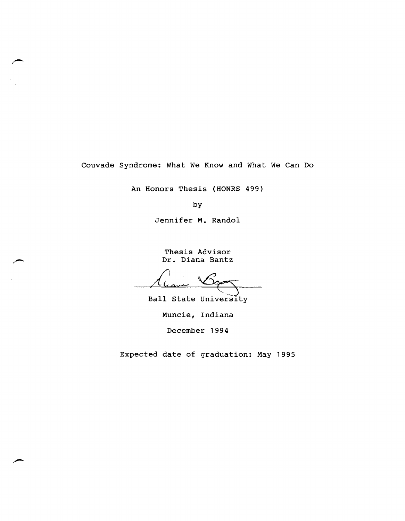Couvade Syndrome: What We Know and What We Can Do

An Honors Thesis (HONRS 499)

by

Jennifer M. Randol

Thesis Advisor Dr. Diana Bantz

Ball State University

Muncie, Indiana

December 1994

Expected date of graduation: May 1995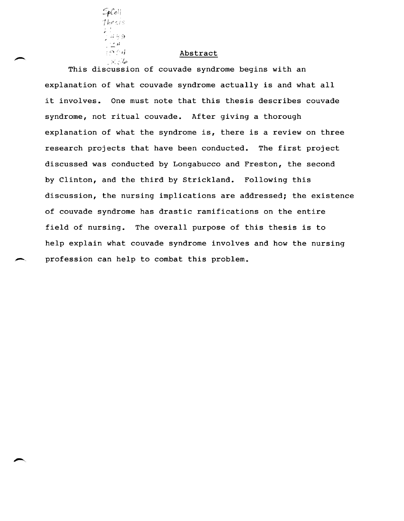

## Abstract

This discussion of couvade syndrome begins with an explanation of what couvade syndrome actually is and what all it involves. One must note that this thesis describes couvade syndrome, not ritual couvade. After giving a thorough explanation of what the syndrome is, there is a review on three research projects that have been conducted. The first project discussed was conducted by Longabucco and Freston, the second by Clinton, and the third by Strickland. Following this discussion, the nursing implications are addressed; the existence of couvade syndrome has drastic ramifications on the entire field of nursing. The overall purpose of this thesis is to help explain what couvade syndrome involves and how the nursing profession can help to combat this problem.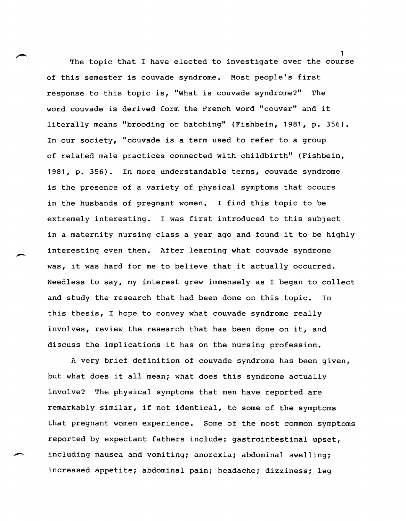The topic that I have elected to investigate over the course of this semester is couvade syndrome. Most people's first response to this topic is, "What is couvade syndrome?" The word couvade is derived form the French word "couver" and it literally means "brooding or hatching" (Fishbein, 1981, p. 356). In our society, "couvade is a term used to refer to a group of related male practices connected with childbirth" (Fishbein, 1981, p. 356). In more understandable terms, couvade syndrome is the presence of a variety of physical symptoms that occurs in the husbands of pregnant women. I find this topic to be extremely interesting. I was first introduced to this subject in a maternity nursing class a year ago and found it to be highly interesting even then. After learning what couvade syndrome was, it was hard for me to believe that it actually occurred. Needless to say, my interest grew immensely as I began to collect and study the research that had been done on this topic. In this thesis, I hope to convey what couvade syndrome really involves, review the research that has been done on it, and discuss the implications it has on the nursing profession.

A very brief definition of couvade syndrome has been given, but what does it all mean; what does this syndrome actually involve? The physical symptoms that men have reported are remarkably similar, if not identical, to some of the symptoms that pregnant women experience. Some of the most common symptoms reported by expectant fathers include: gastrointestinal upset, including nausea and vomiting; anorexia; abdominal swelling; increased appetite; abdominal pain; headache; dizziness; leg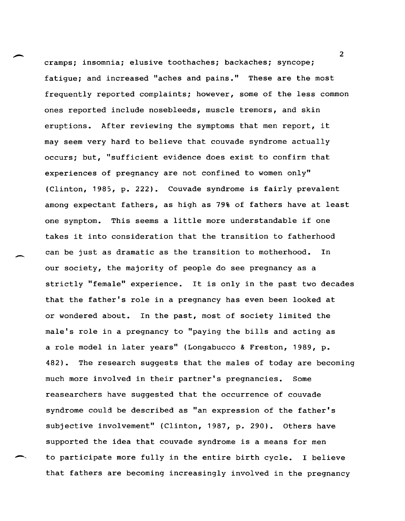cramps; insomnia; elusive toothaches; backaches; syncope; fatigue; and increased "aches and pains." These are the most frequently reported complaints; however, some of the less common ones reported include nosebleeds, muscle tremors, and skin eruptions. After reviewing the symptoms that men report, it may seem very hard to believe that couvade syndrome actually occurs; but, "sufficient evidence does exist to confirm that experiences of pregnancy are not confined to women only" (Clinton, 1985, p. 222). Couvade syndrome is fairly prevalent among expectant fathers, as high as 79% of fathers have at least one symptom. This seems a little more understandable if one takes it into consideration that the transition to fatherhood can be just as dramatic as the transition to motherhood. In our society, the majority of people do see pregnancy as a strictly "female" experience. It is only in the past two decades that the father's role in a pregnancy has even been looked at or wondered about. In the past, most of society limited the male's role in a pregnancy to "paying the bills and acting as a role model in later years" (Longabucco & Freston, 1989, p. 482). The research suggests that the males of today are becoming much more involved in their partner's pregnancies. Some reasearchers have suggested that the occurrence of couvade syndrome could be described as "an expression of the father's subjective involvement" (Clinton, 1987, p. 290). Others have supported the idea that couvade syndrome is a means for men to participate more fully in the entire birth cycle. I believe that fathers are becoming increasingly involved in the pregnancy

 $\overline{\phantom{a}}$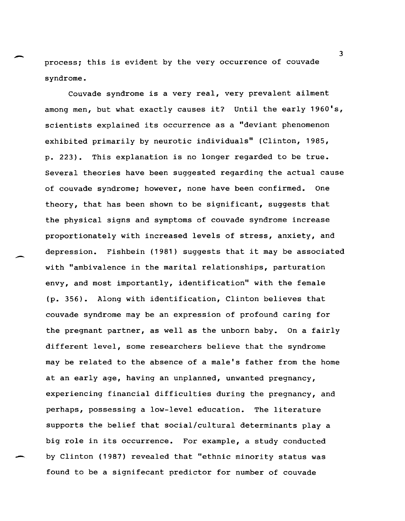process; this is evident by the very occurrence of couvade syndrome.

Couvade syndrome is a very real, very prevalent ailment among men, but what exactly causes it? Until the early 1960's, scientists explained its occurrence as a "deviant phenomenon exhibited primarily by neurotic individuals" (Clinton, 1985, p. 223). This explanation is no longer regarded to be true. Several theories have been suggested regarding the actual cause of couvade syndrome; however, none have been confirmed. One theory, that has been shown to be significant, suggests that the physical signs and symptoms of couvade syndrome increase proportionately with increased levels of stress, anxiety, and depression. Fishbein (1981) suggests that it may be associated with "ambivalence in the marital relationships, parturation envy, and most importantly, identification" with the female (p. 356). Along with identification, Clinton believes that couvade syndrome may be an expression of profound caring for the pregnant partner, as well as the unborn baby. On a fairly different level, some researchers believe that the syndrome may be related to the absence of a male's father from the home at an early age, having an unplanned, unwanted pregnancy, experiencing financial difficulties during the pregnancy, and perhaps, possessing a low-level education. The literature supports the belief that social/cultural determinants playa big role in its occurrence. For example, a study conducted by Clinton (1987) revealed that "ethnic minority status was found to be a signifecant predictor for number of couvade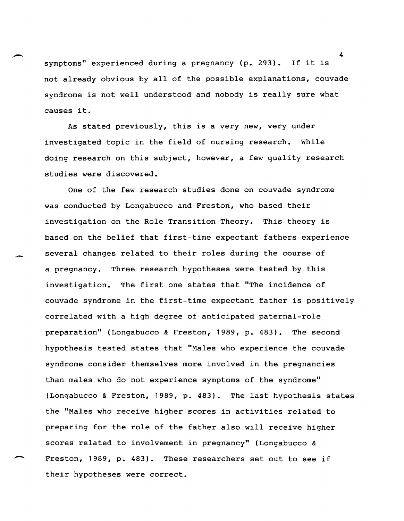symptoms" experienced during a pregnancy (p. 293). If it is not already obvious by all of the possible explanations, couvade syndrome is not well understood and nobody is really sure what causes it.

As stated previously, this is a very new, very under investigated topic in the field of nursing research. While doing research on this subject, however, a few quality research studies were discovered.

One of the few research studies done on couvade syndrome was conducted by Longabucco and Freston, who based their investigation on the Role Transition Theory. This theory is based on the belief that first-time expectant fathers experience several changes related to their roles during the course of a pregnancy. Three research hypotheses were tested by this investigation. The first one states that "The incidence of couvade syndrome in the first-time expectant father is positively correlated with a high degree of anticipated paternal-role preparation" (Longabucco & Freston, 1989, p. 483). The second hypothesis tested states that "Males who experience the couvade syndrome consider themselves more involved in the pregnancies than males who do not experience symptoms of the syndrome" (Longabucco & Freston, 1989, p. 483). The last hypothesis states the "Males who receive higher scores in activities related to preparing for the role of the father also will receive higher scores related to involvement in pregnancy" (Longabucco & Freston, 1989, p. 483). These researchers set out to see if their hypotheses were correct.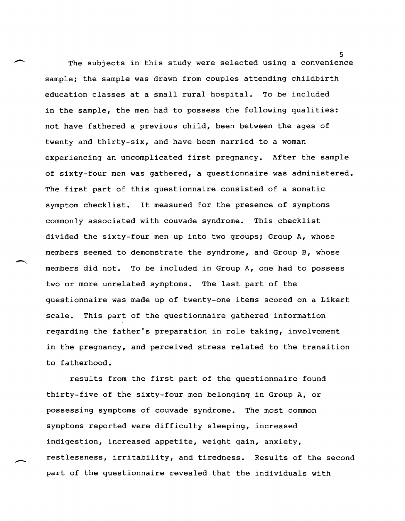The subjects in this study were selected using a convenience sample; the sample was drawn from couples attending childbirth education classes at a small rural hospital. To be included in the sample, the men had to possess the following qualities: not have fathered a previous child, been between the ages of twenty and thirty-six, and have been married to a woman experiencing an uncomplicated first pregnancy. After the sample of sixty-four men was gathered, a questionnaire was administered. The first part of this questionnaire consisted of a somatic symptom checklist. It measured for the presence of symptoms commonly associated with couvade syndrome. This checklist divided the sixty-four men up into two groups; Group A, whose members seemed to demonstrate the syndrome, and Group B, whose members did not. To be included in Group A, one had to possess two or more unrelated symptoms. The last part of the questionnaire was made up of twenty-one items scored on a Likert scale. This part of the questionnaire gathered information regarding the father's preparation in role taking, involvement in the pregnancy, and perceived stress related to the transition to fatherhood.

 $\overline{\phantom{a}}$ 

.-

results from the first part of the questionnaire found thirty-five of the sixty-four men belonging in Group A, or possessing symptoms of couvade syndrome. The most common symptoms reported were difficulty sleeping, increased indigestion, increased appetite, weight gain, anxiety, restlessness, irritability, and tiredness. Results of the second part of the questionnaire revealed that the individuals with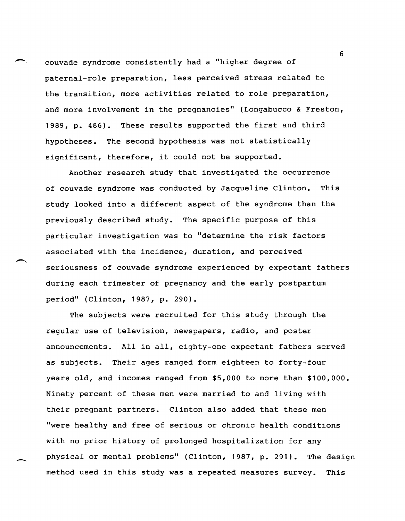couvade syndrome consistently had a "higher degree of paternal-role preparation, less perceived stress related to the transition, more activities related to role preparation, and more involvement in the pregnancies" (Longabucco & Freston, 1989, p. 486). These results supported the first and third hypotheses. The second hypothesis was not statistically significant, therefore, it could not be supported.

Another research study that investigated the occurrence of couvade syndrome was conducted by Jacqueline Clinton. This study looked into a different aspect of the syndrome than the previously described study. The specific purpose of this particular investigation was to "determine the risk factors associated with the incidence, duration, and perceived seriousness of couvade syndrome experienced by expectant fathers during each trimester of pregnancy and the early postpartum period" (Clinton, 1987, p. 290).

The subjects were recruited for this study through the regular use of television, newspapers, radio, and poster announcements. All in all, eighty-one expectant fathers served as subjects. Their ages ranged form eighteen to forty-four years old, and incomes ranged from \$5,000 to more than \$100,000. Ninety percent of these men were married to and living with their pregnant partners. Clinton also added that these men "were healthy and free of serious or chronic health conditions with no prior history of prolonged hospitalization for any physical or mental problems" (Clinton, 1987, p. 291). The design method used in this study was a repeated measures survey. This

-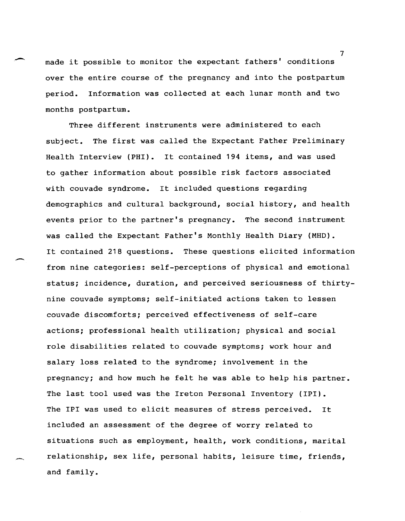made it possible to monitor the expectant fathers' conditions over the entire course of the pregnancy and into the postpartum period. Information was collected at each lunar month and two months postpartum.

,-

 $\overline{\phantom{a}}$ 

Three different instruments were administered to each subject. The first was called the Expectant Father Preliminary Health Interview (PHI). It contained 194 items, and was used to gather information about possible risk factors associated with couvade syndrome. It included questions regarding demographics and cultural background, social history, and health events prior to the partner's pregnancy. The second instrument was called the Expectant Father's Monthly Health Diary (MHO). It contained 218 questions. These questions elicited information from nine categories: self-perceptions of physical and emotional status; incidence, duration, and perceived seriousness of thirtynine couvade symptoms; self-initiated actions taken to lessen couvade discomforts; perceived effectiveness of self-care actions; professional health utilization; physical and social role disabilities related to couvade symptoms; work hour and salary loss related to the syndrome; involvement in the pregnancy; and how much he felt he was able to help his partner. The last tool used was the Ireton Personal Inventory (IPI). The IPI was used to elicit measures of stress perceived. It included an assessment of the degree of worry related to situations such as employment, health, work conditions, marital relationship, sex life, personal habits, leisure time, friends, and family.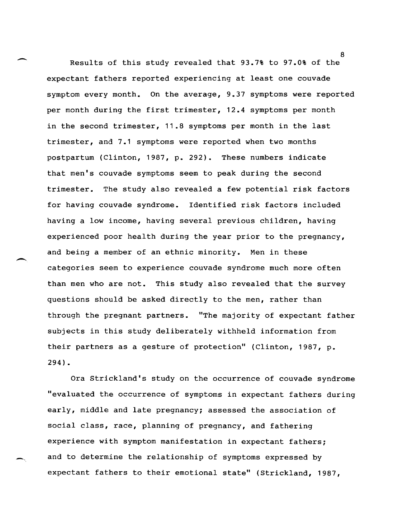Results of this study revealed that 93.7% to 97.0% of the expectant fathers reported experiencing at least one couvade symptom every month. On the average, 9.37 symptoms were reported per month during the first trimester, 12.4 symptoms per month in the second trimester, 11.8 symptoms per month in the last trimester, and 7.1 symptoms were reported when two months postpartum (Clinton, 1987, p. 292). These numbers indicate that men's couvade symptoms seem to peak during the second trimester. The study also revealed a few potential risk factors for having couvade syndrome. Identified risk factors included having a low income, having several previous children, having experienced poor health during the year prior to the pregnancy, and being a member of an ethnic minority. Men in these categories seem to experience couvade syndrome much more often than men who are not. This study also revealed that the survey questions should be asked directly to the men, rather than through the pregnant partners. "The majority of expectant father subjects in this study deliberately withheld information from their partners as a gesture of protection" (Clinton, 1987, p. 294).

-

 $\overline{\phantom{0}}$ 

Ora Strickland's study on the occurrence of couvade syndrome "evaluated the occurrence of symptoms in expectant fathers during early, middle and late pregnancy; assessed the association of social class, race, planning of pregnancy, and fathering experience with symptom manifestation in expectant fathers; and to determine the relationship of symptoms expressed by expectant fathers to their emotional state" (Strickland, 1987,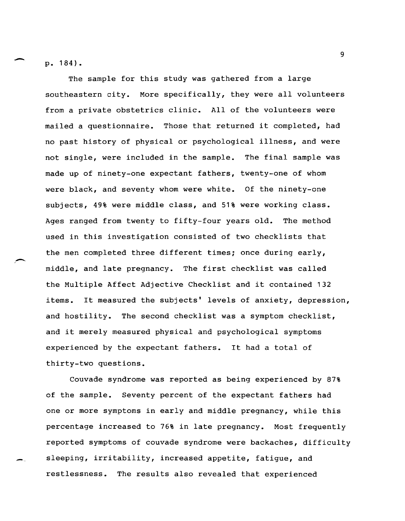p.184).

 $\overline{\phantom{0}}$ 

 $\overline{\phantom{0}}$ 

The sample for this study was gathered from a large southeastern city. More specifically, they were all volunteers from a private obstetrics clinic. All of the volunteers were mailed a questionnaire. Those that returned it completed, had no past history of physical or psychological illness, and were not single, were included in the sample. The final sample was made up of ninety-one expectant fathers, twenty-one of whom were black, and seventy whom were white. Of the ninety-one subjects, 49% were middle class, and 51% were working class. Ages ranged from twenty to fifty-four years old. The method used in this investigation consisted of two checklists that the men completed three different times; once during early, middle, and late pregnancy. The first checklist was called the Multiple Affect Adjective Checklist and it contained 132 items. It measured the subjects' levels of anxiety, depression, and hostility. The second checklist was a symptom checklist, and it merely measured physical and psychological symptoms experienced by the expectant fathers. It had a total of thirty-two questions.

Couvade syndrome was reported as being experienced by 87% of the sample. Seventy percent of the expectant fathers had one or more symptoms in early and middle pregnancy, while this percentage increased to 76% in late pregnancy. Most frequently reported symptoms of couvade syndrome were backaches, difficulty sleeping, irritability, increased appetite, fatigue, and restlessness. The results also revealed that experienced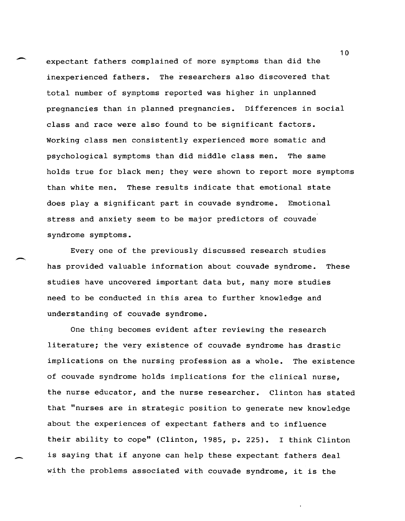expectant fathers complained of more symptoms than did the inexperienced fathers. The researchers also discovered that total number of symptoms reported was higher in unplanned pregnancies than in planned pregnancies. Differences in social class and race were also found to be significant factors. Working class men consistently experienced more somatic and psychological symptoms than did middle class men. The same holds true for black men; they were shown to report more symptoms than white men. These results indicate that emotional state does play a significant part in couvade syndrome. Emotional stress and anxiety seem to be major predictors of couvade syndrome symptoms.

Every one of the previously discussed research studies has provided valuable information about couvade syndrome. These studies have uncovered important data but, many more studies need to be conducted in this area to further knowledge and understanding of couvade syndrome.

~

One thing becomes evident after reviewing the research literature; the very existence of couvade syndrome has drastic implications on the nursing profession as a whole. The existence of couvade syndrome holds implications for the clinical nurse, the nurse educator, and the nurse researcher. Clinton has stated that "nurses are in strategic position to generate new knowledge about the experiences of expectant fathers and to influence their ability to cope" (Clinton, 1985, p. 225). I think Clinton is saying that if anyone can help these expectant fathers deal with the problems associated with couvade syndrome, it is the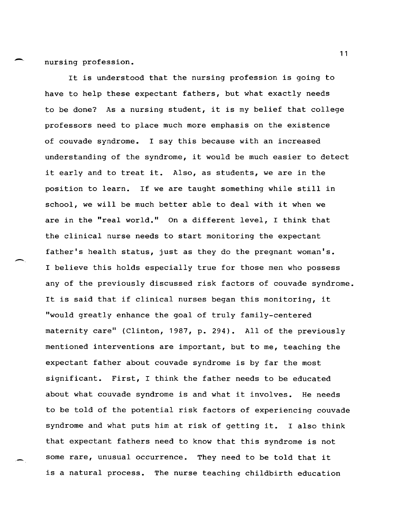nursing profession.

-..

-.

It is understood that the nursing profession is going to have to help these expectant fathers, but what exactly needs to be done? As a nursing student, it is my belief that college professors need to place much more emphasis on the existence of couvade syndrome. I say this because with an increased understanding of the syndrome, it would be much easier to detect it early and to treat it. Also, as students, we are in the position to learn. If we are taught something while still in school, we will be much better able to deal with it when we are in the "real world." On a different level, I think that the clinical nurse needs to start monitoring the expectant father's health status, just as they do the pregnant woman's. I believe this holds especially true for those men who possess any of the previously discussed risk factors of couvade syndrome. It is said that if clinical nurses began this monitoring, it "would greatly enhance the goal of truly family-centered maternity care" (Clinton, 1987, p. 294). All of the previously mentioned interventions are important, but to me, teaching the expectant father about couvade syndrome is by far the most significant. First, I think the father needs to be educated about what couvade syndrome is and what it involves. He needs to be told of the potential risk factors of experiencing couvade syndrome and what puts him at risk of getting it. I also think that expectant fathers need to know that this syndrome is not some rare, unusual occurrence. They need to be told that it is a natural process. The nurse teaching childbirth education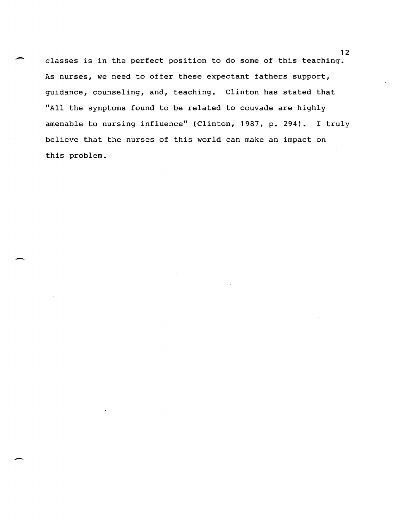classes is in the perfect position to do some of this teaching. As nurses, we need to offer these expectant fathers support, guidance, counseling, and, teaching. Clinton has stated that "All the symptoms found to be related to couvade are highly amenable to nursing influence" (Clinton, 1987, p. 294). I truly believe that the nurses of this world can make an impact on this problem.